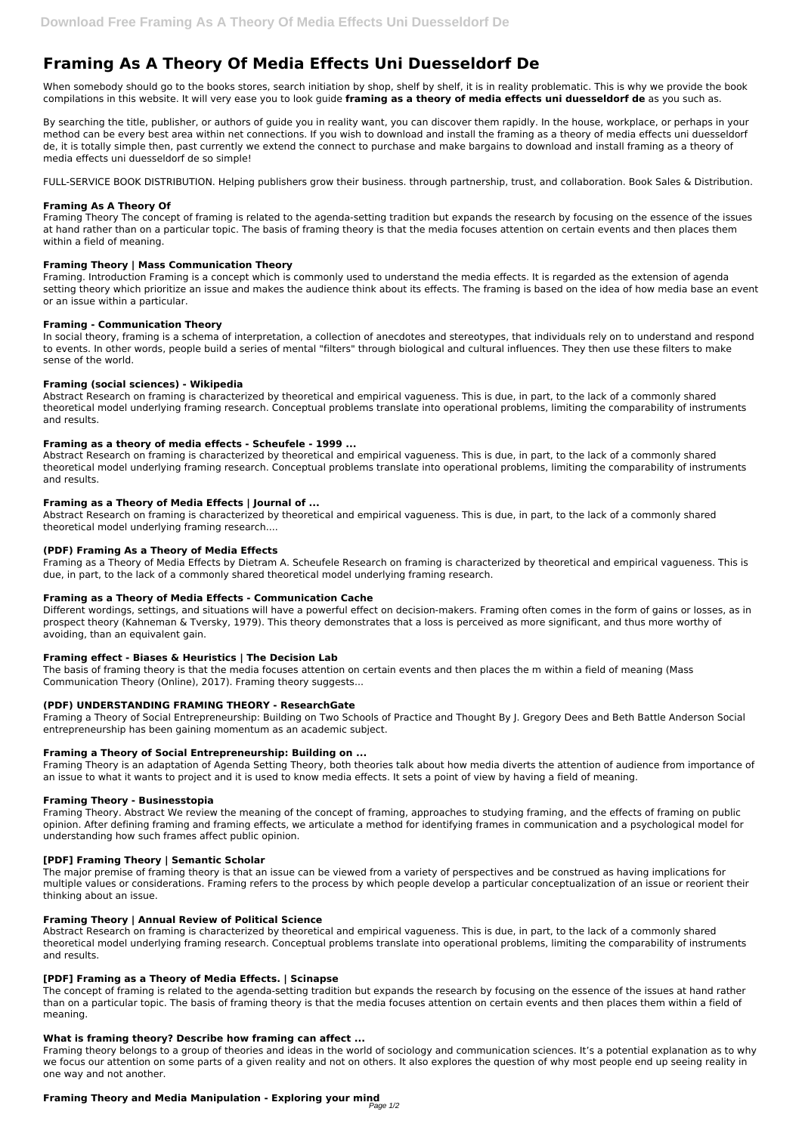# **Framing As A Theory Of Media Effects Uni Duesseldorf De**

When somebody should go to the books stores, search initiation by shop, shelf by shelf, it is in reality problematic. This is why we provide the book compilations in this website. It will very ease you to look guide **framing as a theory of media effects uni duesseldorf de** as you such as.

By searching the title, publisher, or authors of guide you in reality want, you can discover them rapidly. In the house, workplace, or perhaps in your method can be every best area within net connections. If you wish to download and install the framing as a theory of media effects uni duesseldorf de, it is totally simple then, past currently we extend the connect to purchase and make bargains to download and install framing as a theory of media effects uni duesseldorf de so simple!

FULL-SERVICE BOOK DISTRIBUTION. Helping publishers grow their business. through partnership, trust, and collaboration. Book Sales & Distribution.

## **Framing As A Theory Of**

Framing Theory The concept of framing is related to the agenda-setting tradition but expands the research by focusing on the essence of the issues at hand rather than on a particular topic. The basis of framing theory is that the media focuses attention on certain events and then places them within a field of meaning.

## **Framing Theory | Mass Communication Theory**

Framing. Introduction Framing is a concept which is commonly used to understand the media effects. It is regarded as the extension of agenda setting theory which prioritize an issue and makes the audience think about its effects. The framing is based on the idea of how media base an event or an issue within a particular.

## **Framing - Communication Theory**

In social theory, framing is a schema of interpretation, a collection of anecdotes and stereotypes, that individuals rely on to understand and respond to events. In other words, people build a series of mental "filters" through biological and cultural influences. They then use these filters to make sense of the world.

## **Framing (social sciences) - Wikipedia**

Abstract Research on framing is characterized by theoretical and empirical vagueness. This is due, in part, to the lack of a commonly shared theoretical model underlying framing research. Conceptual problems translate into operational problems, limiting the comparability of instruments and results.

## **Framing as a theory of media effects - Scheufele - 1999 ...**

Abstract Research on framing is characterized by theoretical and empirical vagueness. This is due, in part, to the lack of a commonly shared theoretical model underlying framing research. Conceptual problems translate into operational problems, limiting the comparability of instruments and results.

## **Framing as a Theory of Media Effects | Journal of ...**

Abstract Research on framing is characterized by theoretical and empirical vagueness. This is due, in part, to the lack of a commonly shared theoretical model underlying framing research....

## **(PDF) Framing As a Theory of Media Effects**

Framing as a Theory of Media Effects by Dietram A. Scheufele Research on framing is characterized by theoretical and empirical vagueness. This is due, in part, to the lack of a commonly shared theoretical model underlying framing research.

## **Framing as a Theory of Media Effects - Communication Cache**

Different wordings, settings, and situations will have a powerful effect on decision-makers. Framing often comes in the form of gains or losses, as in prospect theory (Kahneman & Tversky, 1979). This theory demonstrates that a loss is perceived as more significant, and thus more worthy of avoiding, than an equivalent gain.

## **Framing effect - Biases & Heuristics | The Decision Lab**

The basis of framing theory is that the media focuses attention on certain events and then places the m within a field of meaning (Mass Communication Theory (Online), 2017). Framing theory suggests...

## **(PDF) UNDERSTANDING FRAMING THEORY - ResearchGate**

Framing a Theory of Social Entrepreneurship: Building on Two Schools of Practice and Thought By J. Gregory Dees and Beth Battle Anderson Social entrepreneurship has been gaining momentum as an academic subject.

## **Framing a Theory of Social Entrepreneurship: Building on ...**

Framing Theory is an adaptation of Agenda Setting Theory, both theories talk about how media diverts the attention of audience from importance of an issue to what it wants to project and it is used to know media effects. It sets a point of view by having a field of meaning.

## **Framing Theory - Businesstopia**

Framing Theory. Abstract We review the meaning of the concept of framing, approaches to studying framing, and the effects of framing on public opinion. After defining framing and framing effects, we articulate a method for identifying frames in communication and a psychological model for understanding how such frames affect public opinion.

## **[PDF] Framing Theory | Semantic Scholar**

The major premise of framing theory is that an issue can be viewed from a variety of perspectives and be construed as having implications for multiple values or considerations. Framing refers to the process by which people develop a particular conceptualization of an issue or reorient their thinking about an issue.

## **Framing Theory | Annual Review of Political Science**

Abstract Research on framing is characterized by theoretical and empirical vagueness. This is due, in part, to the lack of a commonly shared theoretical model underlying framing research. Conceptual problems translate into operational problems, limiting the comparability of instruments and results.

#### **[PDF] Framing as a Theory of Media Effects. | Scinapse**

The concept of framing is related to the agenda-setting tradition but expands the research by focusing on the essence of the issues at hand rather than on a particular topic. The basis of framing theory is that the media focuses attention on certain events and then places them within a field of meaning.

#### **What is framing theory? Describe how framing can affect ...**

Framing theory belongs to a group of theories and ideas in the world of sociology and communication sciences. It's a potential explanation as to why we focus our attention on some parts of a given reality and not on others. It also explores the question of why most people end up seeing reality in one way and not another.

## **Framing Theory and Media Manipulation - Exploring your mind**

Page 1/2